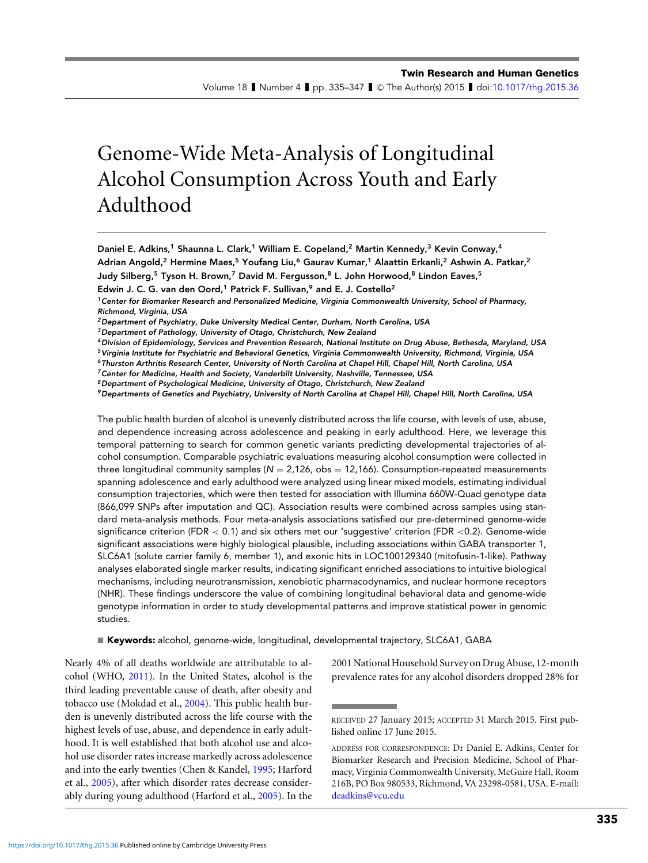Volume 18 I Number 4 I pp. 335–347 I © The Author(s) 2015 I doi[:10.1017/thg.2015.36](http://dx.doi.org/10.1017/thg.2015.36)

# Genome-Wide Meta-Analysis of Longitudinal Alcohol Consumption Across Youth and Early Adulthood

Daniel E. Adkins,<sup>1</sup> Shaunna L. Clark,<sup>1</sup> William E. Copeland,<sup>2</sup> Martin Kennedy,<sup>3</sup> Kevin Conway,<sup>4</sup> Adrian Angold,<sup>2</sup> Hermine Maes,<sup>5</sup> Youfang Liu,<sup>6</sup> Gaurav Kumar,<sup>1</sup> Alaattin Erkanli,<sup>2</sup> Ashwin A. Patkar,<sup>2</sup> Judy Silberg,<sup>5</sup> Tyson H. Brown,<sup>7</sup> David M. Fergusson,<sup>8</sup> L. John Horwood,<sup>8</sup> Lindon Eaves,<sup>5</sup> Edwin J. C. G. van den Oord,<sup>1</sup> Patrick F. Sullivan,<sup>9</sup> and E. J. Costello<sup>2</sup>

<sup>1</sup>Center for Biomarker Research and Personalized Medicine, Virginia Commonwealth University, School of Pharmacy, Richmond, Virginia, USA

<sup>6</sup> Thurston Arthritis Research Center, University of North Carolina at Chapel Hill, Chapel Hill, North Carolina, USA

<sup>9</sup>Departments of Genetics and Psychiatry, University of North Carolina at Chapel Hill, Chapel Hill, North Carolina, USA

The public health burden of alcohol is unevenly distributed across the life course, with levels of use, abuse, and dependence increasing across adolescence and peaking in early adulthood. Here, we leverage this temporal patterning to search for common genetic variants predicting developmental trajectories of alcohol consumption. Comparable psychiatric evaluations measuring alcohol consumption were collected in three longitudinal community samples ( $N = 2,126$ , obs = 12,166). Consumption-repeated measurements spanning adolescence and early adulthood were analyzed using linear mixed models, estimating individual consumption trajectories, which were then tested for association with Illumina 660W-Quad genotype data (866,099 SNPs after imputation and QC). Association results were combined across samples using standard meta-analysis methods. Four meta-analysis associations satisfied our pre-determined genome-wide significance criterion (FDR < 0.1) and six others met our 'suggestive' criterion (FDR <0.2). Genome-wide significant associations were highly biological plausible, including associations within GABA transporter 1, SLC6A1 (solute carrier family 6, member 1), and exonic hits in LOC100129340 (mitofusin-1-like). Pathway analyses elaborated single marker results, indicating significant enriched associations to intuitive biological mechanisms, including neurotransmission, xenobiotic pharmacodynamics, and nuclear hormone receptors (NHR). These findings underscore the value of combining longitudinal behavioral data and genome-wide genotype information in order to study developmental patterns and improve statistical power in genomic studies.

■ Keywords: alcohol, genome-wide, longitudinal, developmental trajectory, SLC6A1, GABA

Nearly 4% of all deaths worldwide are attributable to alcohol (WHO, [2011\)](#page-12-0). In the United States, alcohol is the third leading preventable cause of death, after obesity and tobacco use (Mokdad et al., [2004\)](#page-11-0). This public health burden is unevenly distributed across the life course with the highest levels of use, abuse, and dependence in early adulthood. It is well established that both alcohol use and alcohol use disorder rates increase markedly across adolescence and into the early twenties (Chen & Kandel, [1995;](#page-9-0) Harford et al., [2005\)](#page-10-0), after which disorder rates decrease considerably during young adulthood (Harford et al., [2005\)](#page-10-0). In the

2001 National Household Survey on Drug Abuse, 12-month prevalence rates for any alcohol disorders dropped 28% for

<sup>&</sup>lt;sup>2</sup> Department of Psychiatry, Duke University Medical Center, Durham, North Carolina, USA

<sup>&</sup>lt;sup>3</sup> Department of Pathology, University of Otago, Christchurch, New Zealand

<sup>4</sup>Division of Epidemiology, Services and Prevention Research, National Institute on Drug Abuse, Bethesda, Maryland, USA

<sup>5</sup>Virginia Institute for Psychiatric and Behavioral Genetics, Virginia Commonwealth University, Richmond, Virginia, USA

<sup>&</sup>lt;sup>7</sup> Center for Medicine, Health and Society, Vanderbilt University, Nashville, Tennessee, USA <sup>8</sup>Department of Psychological Medicine, University of Otago, Christchurch, New Zealand

RECEIVED 27 January 2015; ACCEPTED 31 March 2015. First published online 17 June 2015.

ADDRESS FOR CORRESPONDENCE: Dr Daniel E. Adkins, Center for Biomarker Research and Precision Medicine, School of Pharmacy, Virginia Commonwealth University, McGuire Hall, Room 216B, PO Box 980533, Richmond, VA 23298-0581, USA. E-mail: [deadkins@vcu.edu](mailto:deadkins@vcu.edu)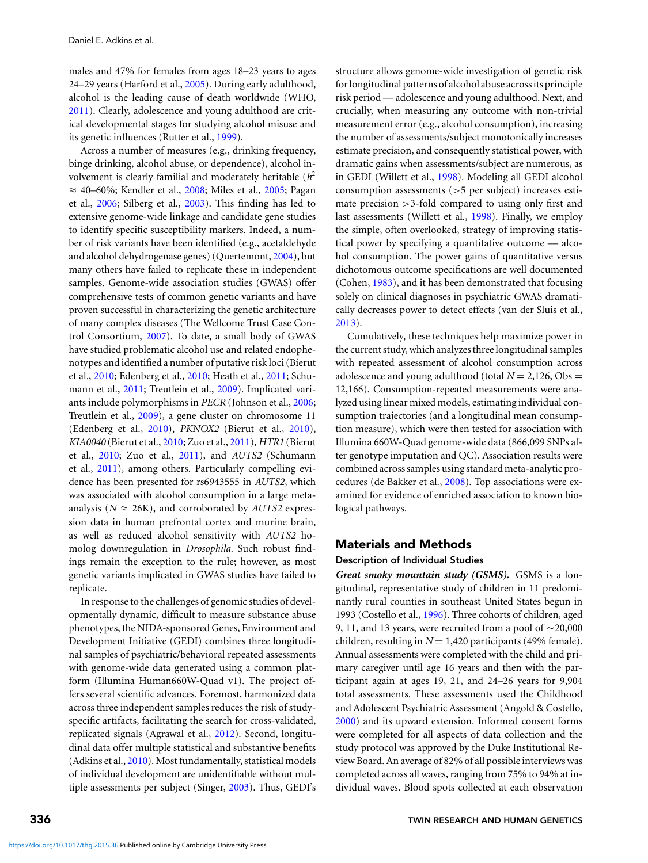males and 47% for females from ages 18–23 years to ages 24–29 years (Harford et al., [2005\)](#page-10-0). During early adulthood, alcohol is the leading cause of death worldwide (WHO, [2011\)](#page-12-0). Clearly, adolescence and young adulthood are critical developmental stages for studying alcohol misuse and its genetic influences (Rutter et al., [1999\)](#page-11-0).

Across a number of measures (e.g., drinking frequency, binge drinking, alcohol abuse, or dependence), alcohol involvement is clearly familial and moderately heritable (*h*<sup>2</sup>  $\approx$  40–60%; Kendler et al., [2008;](#page-10-0) Miles et al., [2005;](#page-10-0) Pagan et al., [2006;](#page-11-0) Silberg et al., [2003\)](#page-11-0). This finding has led to extensive genome-wide linkage and candidate gene studies to identify specific susceptibility markers. Indeed, a number of risk variants have been identified (e.g., acetaldehyde and alcohol dehydrogenase genes) (Quertemont, [2004\)](#page-11-0), but many others have failed to replicate these in independent samples. Genome-wide association studies (GWAS) offer comprehensive tests of common genetic variants and have proven successful in characterizing the genetic architecture of many complex diseases (The Wellcome Trust Case Control Consortium, [2007\)](#page-11-0). To date, a small body of GWAS have studied problematic alcohol use and related endophenotypes and identified a number of putative risk loci (Bierut et al., [2010;](#page-9-0) Edenberg et al., [2010;](#page-10-0) Heath et al., [2011;](#page-10-0) Schu-mann et al., [2011;](#page-11-0) Treutlein et al., [2009\)](#page-11-0). Implicated variants include polymorphisms in *PECR* (Johnson et al., [2006;](#page-10-0) Treutlein et al., [2009\)](#page-11-0), a gene cluster on chromosome 11 (Edenberg et al., [2010\)](#page-10-0), *PKNOX2* (Bierut et al., [2010\)](#page-9-0), *KIA0040* (Bierut et al., [2010;](#page-9-0) Zuo et al., [2011\)](#page-12-0), *HTR1* (Bierut et al., [2010;](#page-9-0) Zuo et al., [2011\)](#page-12-0), and *AUTS2* (Schumann et al., [2011\)](#page-11-0)*,* among others. Particularly compelling evidence has been presented for rs6943555 in *AUTS2*, which was associated with alcohol consumption in a large metaanalysis ( $N \approx 26K$ ), and corroborated by  $AUTS2$  expression data in human prefrontal cortex and murine brain, as well as reduced alcohol sensitivity with *AUTS2* homolog downregulation in *Drosophila.* Such robust findings remain the exception to the rule; however, as most genetic variants implicated in GWAS studies have failed to replicate.

In response to the challenges of genomic studies of developmentally dynamic, difficult to measure substance abuse phenotypes, the NIDA-sponsored Genes, Environment and Development Initiative (GEDI) combines three longitudinal samples of psychiatric/behavioral repeated assessments with genome-wide data generated using a common platform (Illumina Human660W-Quad v1). The project offers several scientific advances. Foremost, harmonized data across three independent samples reduces the risk of studyspecific artifacts, facilitating the search for cross-validated, replicated signals (Agrawal et al., [2012\)](#page-9-0). Second, longitudinal data offer multiple statistical and substantive benefits (Adkins et al., [2010\)](#page-9-0). Most fundamentally, statistical models of individual development are unidentifiable without multiple assessments per subject (Singer, [2003\)](#page-11-0). Thus, GEDI's structure allows genome-wide investigation of genetic risk for longitudinal patterns of alcohol abuse across its principle risk period –– adolescence and young adulthood. Next, and crucially, when measuring any outcome with non-trivial measurement error (e.g., alcohol consumption), increasing the number of assessments/subject monotonically increases estimate precision, and consequently statistical power, with dramatic gains when assessments/subject are numerous, as in GEDI (Willett et al., [1998\)](#page-12-0). Modeling all GEDI alcohol consumption assessments (*>*5 per subject) increases estimate precision *>*3-fold compared to using only first and last assessments (Willett et al., [1998\)](#page-12-0). Finally, we employ the simple, often overlooked, strategy of improving statistical power by specifying a quantitative outcome -- alcohol consumption. The power gains of quantitative versus dichotomous outcome specifications are well documented (Cohen, [1983\)](#page-10-0), and it has been demonstrated that focusing solely on clinical diagnoses in psychiatric GWAS dramatically decreases power to detect effects (van der Sluis et al., [2013\)](#page-11-0).

Cumulatively, these techniques help maximize power in the current study, which analyzes three longitudinal samples with repeated assessment of alcohol consumption across adolescence and young adulthood (total  $N = 2,126$ , Obs = 12,166). Consumption-repeated measurements were analyzed using linear mixed models, estimating individual consumption trajectories (and a longitudinal mean consumption measure), which were then tested for association with Illumina 660W-Quad genome-wide data (866,099 SNPs after genotype imputation and QC). Association results were combined across samples using standard meta-analytic procedures (de Bakker et al., [2008\)](#page-10-0). Top associations were examined for evidence of enriched association to known biological pathways.

# Materials and Methods

## Description of Individual Studies

*Great smoky mountain study (GSMS).* GSMS is a longitudinal, representative study of children in 11 predominantly rural counties in southeast United States begun in 1993 (Costello et al., [1996\)](#page-10-0). Three cohorts of children, aged 9, 11, and 13 years, were recruited from a pool of  $\sim$  20,000 children, resulting in  $N = 1,420$  participants (49% female). Annual assessments were completed with the child and primary caregiver until age 16 years and then with the participant again at ages 19, 21, and 24–26 years for 9,904 total assessments. These assessments used the Childhood and Adolescent Psychiatric Assessment (Angold & Costello, [2000\)](#page-9-0) and its upward extension. Informed consent forms were completed for all aspects of data collection and the study protocol was approved by the Duke Institutional Review Board. An average of 82% of all possible interviews was completed across all waves, ranging from 75% to 94% at individual waves. Blood spots collected at each observation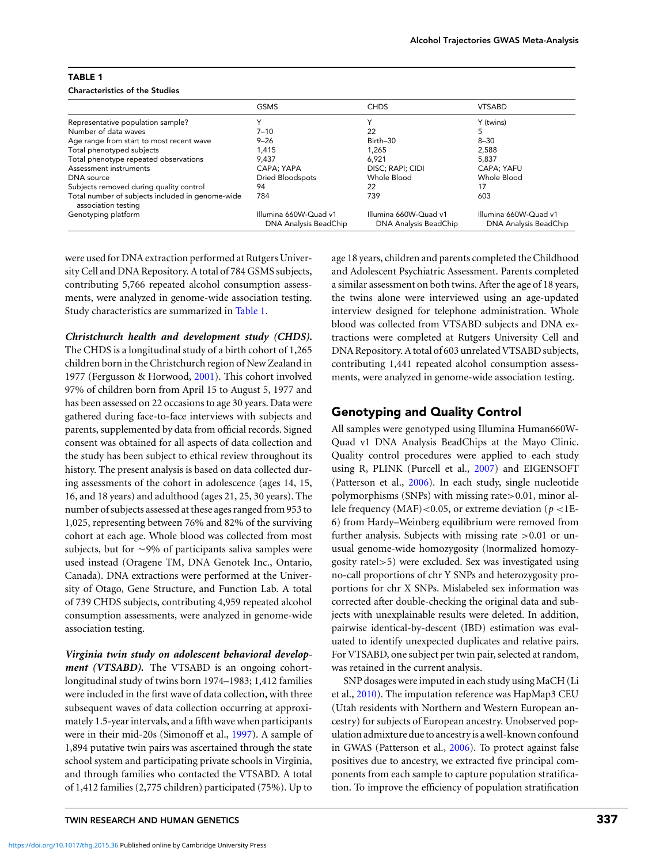| <b>TABLE 1</b>                        |  |
|---------------------------------------|--|
| <b>Characteristics of the Studies</b> |  |

|                                                                         | <b>GSMS</b>                                           | <b>CHDS</b>                                    | <b>VTSABD</b>                                         |
|-------------------------------------------------------------------------|-------------------------------------------------------|------------------------------------------------|-------------------------------------------------------|
| Representative population sample?                                       |                                                       |                                                | Y (twins)                                             |
| Number of data waves                                                    | $7 - 10$                                              | 22                                             | 5                                                     |
| Age range from start to most recent wave                                | $9 - 26$                                              | Birth-30                                       | $8 - 30$                                              |
| Total phenotyped subjects                                               | 1.415                                                 | 1,265                                          | 2.588                                                 |
| Total phenotype repeated observations                                   | 9.437                                                 | 6.921                                          | 5.837                                                 |
| Assessment instruments                                                  | CAPA; YAPA                                            | DISC; RAPI; CIDI                               | CAPA; YAFU                                            |
| DNA source                                                              | Dried Bloodspots                                      | Whole Blood                                    | Whole Blood                                           |
| Subjects removed during quality control                                 | 94                                                    | 22                                             |                                                       |
| Total number of subjects included in genome-wide<br>association testing | 784                                                   | 739                                            | 603                                                   |
| Genotyping platform                                                     | Illumina 660W-Quad v1<br><b>DNA Analysis BeadChip</b> | Illumina 660W-Quad v1<br>DNA Analysis BeadChip | Illumina 660W-Quad v1<br><b>DNA Analysis BeadChip</b> |

were used for DNA extraction performed at Rutgers University Cell and DNA Repository. A total of 784 GSMS subjects, contributing 5,766 repeated alcohol consumption assessments, were analyzed in genome-wide association testing. Study characteristics are summarized in Table 1.

*Christchurch health and development study (CHDS).* The CHDS is a longitudinal study of a birth cohort of 1,265 children born in the Christchurch region of New Zealand in 1977 (Fergusson & Horwood, [2001\)](#page-10-0). This cohort involved 97% of children born from April 15 to August 5, 1977 and has been assessed on 22 occasions to age 30 years. Data were gathered during face-to-face interviews with subjects and parents, supplemented by data from official records. Signed consent was obtained for all aspects of data collection and the study has been subject to ethical review throughout its history. The present analysis is based on data collected during assessments of the cohort in adolescence (ages 14, 15, 16, and 18 years) and adulthood (ages 21, 25, 30 years). The number of subjects assessed at these ages ranged from 953 to 1,025, representing between 76% and 82% of the surviving cohort at each age. Whole blood was collected from most subjects, but for  $\sim$ 9% of participants saliva samples were used instead (Oragene TM, DNA Genotek Inc., Ontario, Canada). DNA extractions were performed at the University of Otago, Gene Structure, and Function Lab. A total of 739 CHDS subjects, contributing 4,959 repeated alcohol consumption assessments, were analyzed in genome-wide association testing.

*Virginia twin study on adolescent behavioral development (VTSABD)*. The VTSABD is an ongoing cohortlongitudinal study of twins born 1974–1983; 1,412 families were included in the first wave of data collection, with three subsequent waves of data collection occurring at approximately 1.5-year intervals, and a fifth wave when participants were in their mid-20s (Simonoff et al., [1997\)](#page-11-0). A sample of 1,894 putative twin pairs was ascertained through the state school system and participating private schools in Virginia, and through families who contacted the VTSABD. A total of 1,412 families (2,775 children) participated (75%). Up to age 18 years, children and parents completed the Childhood and Adolescent Psychiatric Assessment. Parents completed a similar assessment on both twins. After the age of 18 years, the twins alone were interviewed using an age-updated interview designed for telephone administration. Whole blood was collected from VTSABD subjects and DNA extractions were completed at Rutgers University Cell and DNA Repository. A total of 603 unrelated VTSABD subjects, contributing 1,441 repeated alcohol consumption assessments, were analyzed in genome-wide association testing.

# Genotyping and Quality Control

All samples were genotyped using Illumina Human660W-Quad v1 DNA Analysis BeadChips at the Mayo Clinic. Quality control procedures were applied to each study using R, PLINK (Purcell et al., [2007\)](#page-11-0) and EIGENSOFT (Patterson et al., [2006\)](#page-11-0). In each study, single nucleotide polymorphisms (SNPs) with missing rate*>*0.01, minor allele frequency (MAF)*<*0.05, or extreme deviation (*p <*1E-6) from Hardy–Weinberg equilibrium were removed from further analysis. Subjects with missing rate *>*0.01 or unusual genome-wide homozygosity (|normalized homozygosity rate|*>*5) were excluded. Sex was investigated using no-call proportions of chr Y SNPs and heterozygosity proportions for chr X SNPs. Mislabeled sex information was corrected after double-checking the original data and subjects with unexplainable results were deleted. In addition, pairwise identical-by-descent (IBD) estimation was evaluated to identify unexpected duplicates and relative pairs. For VTSABD, one subject per twin pair, selected at random, was retained in the current analysis.

SNP dosages were imputed in each study using MaCH (Li et al., [2010\)](#page-10-0). The imputation reference was HapMap3 CEU (Utah residents with Northern and Western European ancestry) for subjects of European ancestry. Unobserved population admixture due to ancestry is a well-known confound in GWAS (Patterson et al., [2006\)](#page-11-0). To protect against false positives due to ancestry, we extracted five principal components from each sample to capture population stratification. To improve the efficiency of population stratification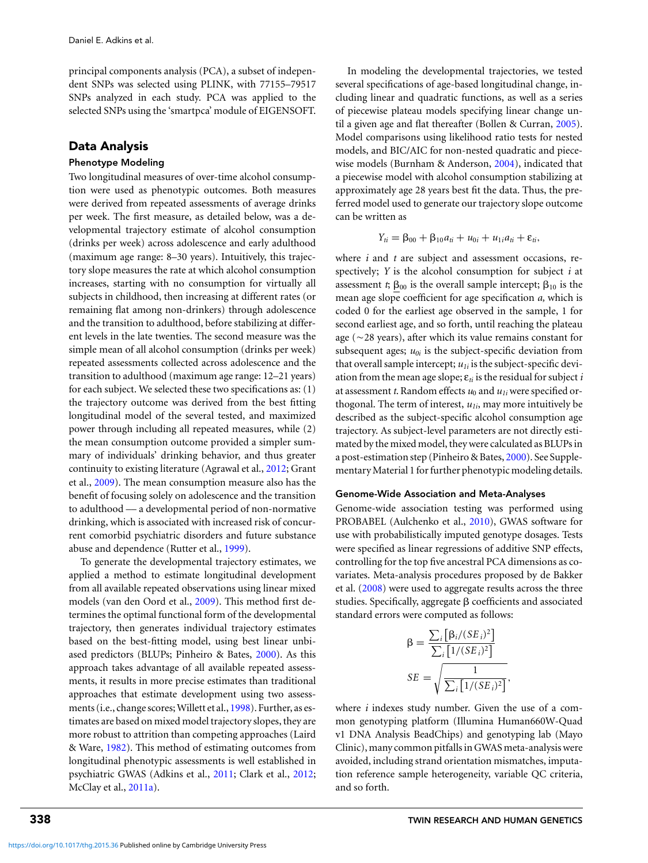principal components analysis (PCA), a subset of independent SNPs was selected using PLINK, with 77155–79517 SNPs analyzed in each study. PCA was applied to the selected SNPs using the 'smartpca' module of EIGENSOFT.

## Data Analysis

## Phenotype Modeling

Two longitudinal measures of over-time alcohol consumption were used as phenotypic outcomes. Both measures were derived from repeated assessments of average drinks per week. The first measure, as detailed below, was a developmental trajectory estimate of alcohol consumption (drinks per week) across adolescence and early adulthood (maximum age range: 8–30 years). Intuitively, this trajectory slope measures the rate at which alcohol consumption increases, starting with no consumption for virtually all subjects in childhood, then increasing at different rates (or remaining flat among non-drinkers) through adolescence and the transition to adulthood, before stabilizing at different levels in the late twenties. The second measure was the simple mean of all alcohol consumption (drinks per week) repeated assessments collected across adolescence and the transition to adulthood (maximum age range: 12–21 years) for each subject. We selected these two specifications as: (1) the trajectory outcome was derived from the best fitting longitudinal model of the several tested, and maximized power through including all repeated measures, while (2) the mean consumption outcome provided a simpler summary of individuals' drinking behavior, and thus greater continuity to existing literature (Agrawal et al., [2012;](#page-9-0) Grant et al., [2009\)](#page-10-0). The mean consumption measure also has the benefit of focusing solely on adolescence and the transition to adulthood –– a developmental period of non-normative drinking, which is associated with increased risk of concurrent comorbid psychiatric disorders and future substance abuse and dependence (Rutter et al., [1999\)](#page-11-0).

To generate the developmental trajectory estimates, we applied a method to estimate longitudinal development from all available repeated observations using linear mixed models (van den Oord et al., [2009\)](#page-11-0). This method first determines the optimal functional form of the developmental trajectory, then generates individual trajectory estimates based on the best-fitting model, using best linear unbiased predictors (BLUPs; Pinheiro & Bates, [2000\)](#page-11-0). As this approach takes advantage of all available repeated assessments, it results in more precise estimates than traditional approaches that estimate development using two assessments (i.e., change scores; Willett et al., [1998\)](#page-12-0). Further, as estimates are based on mixed model trajectory slopes, they are more robust to attrition than competing approaches (Laird & Ware, [1982\)](#page-10-0). This method of estimating outcomes from longitudinal phenotypic assessments is well established in psychiatric GWAS (Adkins et al., [2011;](#page-9-0) Clark et al., [2012;](#page-9-0) McClay et al., [2011a\)](#page-10-0).

In modeling the developmental trajectories, we tested several specifications of age-based longitudinal change, including linear and quadratic functions, as well as a series of piecewise plateau models specifying linear change until a given age and flat thereafter (Bollen & Curran, [2005\)](#page-9-0). Model comparisons using likelihood ratio tests for nested models, and BIC/AIC for non-nested quadratic and piecewise models (Burnham & Anderson, [2004\)](#page-9-0), indicated that a piecewise model with alcohol consumption stabilizing at approximately age 28 years best fit the data. Thus, the preferred model used to generate our trajectory slope outcome can be written as

$$
Y_{ti} = \beta_{00} + \beta_{10}a_{ti} + u_{0i} + u_{1i}a_{ti} + \varepsilon_{ti},
$$

where *i* and *t* are subject and assessment occasions, respectively; *Y* is the alcohol consumption for subject *i* at assessment *t*;  $\beta_{00}$  is the overall sample intercept;  $\beta_{10}$  is the mean age slope coefficient for age specification *a,* which is coded 0 for the earliest age observed in the sample, 1 for second earliest age, and so forth, until reaching the plateau age ( $\sim$ 28 years), after which its value remains constant for subsequent ages;  $u_{0i}$  is the subject-specific deviation from that overall sample intercept;  $u_{1i}$  is the subject-specific deviation from the mean age slope;  $\varepsilon_{ti}$  is the residual for subject *i* at assessment *t*. Random effects  $u_0$  and  $u_{1i}$  were specified orthogonal. The term of interest,  $u_{1i}$ , may more intuitively be described as the subject-specific alcohol consumption age trajectory. As subject-level parameters are not directly estimated by the mixed model, they were calculated as BLUPs in a post-estimation step (Pinheiro & Bates, [2000\)](#page-11-0). See Supplementary Material 1 for further phenotypic modeling details.

#### Genome-Wide Association and Meta-Analyses

Genome-wide association testing was performed using PROBABEL (Aulchenko et al., [2010\)](#page-9-0), GWAS software for use with probabilistically imputed genotype dosages. Tests were specified as linear regressions of additive SNP effects, controlling for the top five ancestral PCA dimensions as covariates. Meta-analysis procedures proposed by de Bakker et al. [\(2008\)](#page-10-0) were used to aggregate results across the three studies. Specifically, aggregate  $\beta$  coefficients and associated standard errors were computed as follows:

$$
\beta = \frac{\sum_{i} [\beta_i/(SE_i)^2]}{\sum_{i} [1/(SE_i)^2]}
$$

$$
SE = \sqrt{\frac{1}{\sum_{i} [1/(SE_i)^2]}},
$$

where *i* indexes study number. Given the use of a common genotyping platform (Illumina Human660W-Quad v1 DNA Analysis BeadChips) and genotyping lab (Mayo Clinic), many common pitfalls in GWAS meta-analysis were avoided, including strand orientation mismatches, imputation reference sample heterogeneity, variable QC criteria, and so forth.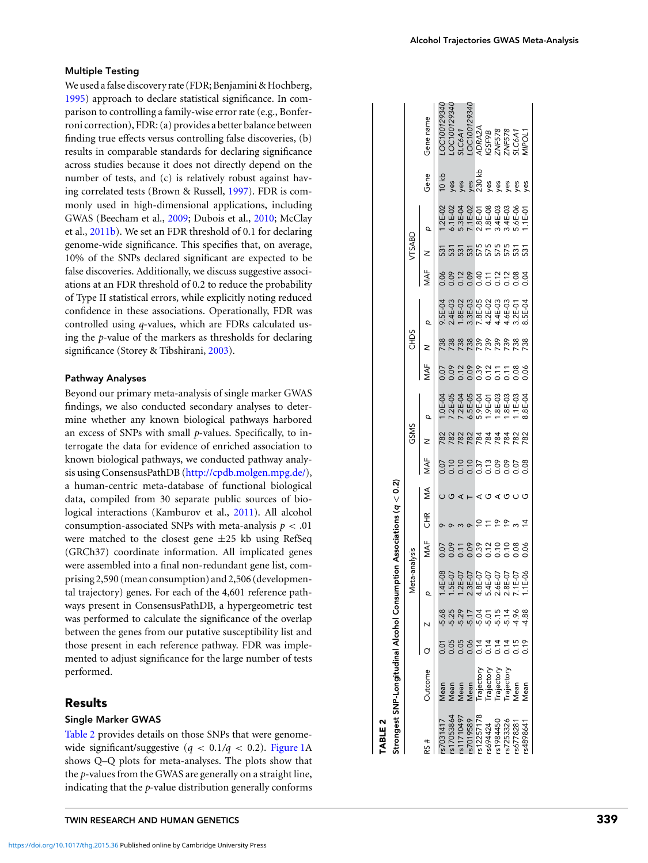## <span id="page-4-0"></span>Multiple Testing

We used a false discovery rate (FDR; Benjamini & Hochberg, [1995\)](#page-9-0) approach to declare statistical significance. In comparison to controlling a family-wise error rate (e.g., Bonferroni correction), FDR: (a) provides a better balance between finding true effects versus controlling false discoveries, (b) results in comparable standards for declaring significance across studies because it does not directly depend on the number of tests, and (c) is relatively robust against having correlated tests (Brown & Russell, [1997\)](#page-9-0). FDR is commonly used in high-dimensional applications, including GWAS (Beecham et al., [2009;](#page-9-0) Dubois et al., [2010;](#page-10-0) McClay et al., [2011b\)](#page-10-0). We set an FDR threshold of 0.1 for declaring genome-wide significance. This specifies that, on average, 10% of the SNPs declared significant are expected to be false discoveries. Additionally, we discuss suggestive associations at an FDR threshold of 0.2 to reduce the probability of Type II statistical errors, while explicitly noting reduced confidence in these associations. Operationally, FDR was controlled using *q*-values, which are FDRs calculated using the *p*-value of the markers as thresholds for declaring significance (Storey & Tibshirani, [2003\)](#page-11-0).

## Pathway Analyses

Beyond our primary meta-analysis of single marker GWAS findings, we also conducted secondary analyses to determine whether any known biological pathways harbored an excess of SNPs with small *p*-values. Specifically, to interrogate the data for evidence of enriched association to known biological pathways, we conducted pathway analysis using ConsensusPathDB [\(http://cpdb.molgen.mpg.de/\)](http://cpdb.molgen.mpg.de/), a human-centric meta-database of functional biological data, compiled from 30 separate public sources of biological interactions (Kamburov et al., [2011\)](#page-10-0). All alcohol consumption-associated SNPs with meta-analysis  $p < .01$ were matched to the closest gene  $\pm 25$  kb using RefSeq (GRCh37) coordinate information. All implicated genes were assembled into a final non-redundant gene list, comprising 2,590 (mean consumption) and 2,506 (developmental trajectory) genes. For each of the 4,601 reference pathways present in ConsensusPathDB, a hypergeometric test was performed to calculate the significance of the overlap between the genes from our putative susceptibility list and those present in each reference pathway. FDR was implemented to adjust significance for the large number of tests performed.

## Results

## Single Marker GWAS

Table 2 provides details on those SNPs that were genomewide significant/suggestive  $(q < 0.1/q < 0.2)$ . [Figure 1A](#page-5-0) shows Q–Q plots for meta-analyses. The plots show that the *p*-values from the GWAS are generally on a straight line, indicating that the *p*-value distribution generally conforms

<https://doi.org/10.1017/thg.2015.36>Published online by Cambridge University Press

| ABLE <sub>2</sub>                                                         |                                                                      |                      |                                                                                                                                             |           |        |   |   |                |                                                     |                                                                                                                                                                                                                                                                               |         |              |                                                                  |                   |                                                                            |                      |                                                                                    |
|---------------------------------------------------------------------------|----------------------------------------------------------------------|----------------------|---------------------------------------------------------------------------------------------------------------------------------------------|-----------|--------|---|---|----------------|-----------------------------------------------------|-------------------------------------------------------------------------------------------------------------------------------------------------------------------------------------------------------------------------------------------------------------------------------|---------|--------------|------------------------------------------------------------------|-------------------|----------------------------------------------------------------------------|----------------------|------------------------------------------------------------------------------------|
| Strongest SNP-Longitudinal Alcohol Consumption Associations ( $q < 0.2$ ) |                                                                      |                      |                                                                                                                                             |           |        |   |   |                |                                                     |                                                                                                                                                                                                                                                                               |         |              |                                                                  |                   |                                                                            |                      |                                                                                    |
|                                                                           |                                                                      |                      | Meta-analysis                                                                                                                               |           |        |   |   | GSMS           |                                                     |                                                                                                                                                                                                                                                                               | CHDS    |              |                                                                  | TSABL             |                                                                            |                      |                                                                                    |
| ss#                                                                       | <b>Outcome</b>                                                       |                      |                                                                                                                                             | MAF       | チ<br>こ | ≸ | ₹ |                |                                                     |                                                                                                                                                                                                                                                                               |         |              |                                                                  |                   | ۵                                                                          | Gene                 | Gene name                                                                          |
| 7031417                                                                   | <b>Aean</b>                                                          |                      |                                                                                                                                             |           |        |   |   | $^{82}$        | $-94 - 30$                                          |                                                                                                                                                                                                                                                                               |         | <b>SE-04</b> |                                                                  |                   |                                                                            | 10 kb                |                                                                                    |
| 17053864                                                                  | <b>Aean</b>                                                          |                      |                                                                                                                                             |           |        |   |   |                |                                                     | 0.07                                                                                                                                                                                                                                                                          |         |              | $\frac{80}{2}$                                                   |                   |                                                                            |                      | OC100                                                                              |
| 11710497                                                                  | Mean                                                                 | 3.88<br>2.98         |                                                                                                                                             |           |        |   |   | 782            | 2E-05<br>2E-04<br>3.5E-05                           |                                                                                                                                                                                                                                                                               | /38     |              |                                                                  |                   |                                                                            |                      |                                                                                    |
| 7019589                                                                   | <b>Vean</b>                                                          |                      | 4E-08<br>4E-07 D-07 D-07<br>5 D-07 D-07 D-07<br>4 D-07 D-07 D-07<br>4 D-07 D-07 D-07<br>5 D-07 D-07 D-07 D-07<br>5 D-07 D-07 D-07 D-07 D-07 | 877882288 |        |   |   | 782            |                                                     | $\begin{array}{c} 2888277880 \\ 1888277880 \\ 188827980 \\ 188827980 \\ 188827980 \\ 188827980 \\ 188827980 \\ 188827980 \\ 188827980 \\ 188827980 \\ 188827980 \\ 188827980 \\ 188827980 \\ 188827980 \\ 188827980 \\ 188827980 \\ 188827980 \\ 188827980 \\ 188827980 \\ 1$ | 738     |              | $\begin{array}{c} 28877288 \\ 0000000 \\ 0000000 \\ \end{array}$ | 531<br>531        | 1.25-02<br>5.15-04<br>5.15-05-08<br>5.15-08-03<br>5.15-08-03<br>1.15-08-03 | yes<br>yes<br>230 kb |                                                                                    |
| 12257178                                                                  |                                                                      |                      |                                                                                                                                             |           |        |   |   | 784            |                                                     |                                                                                                                                                                                                                                                                               |         |              |                                                                  | 575               |                                                                            |                      |                                                                                    |
|                                                                           |                                                                      |                      |                                                                                                                                             |           |        |   |   |                |                                                     |                                                                                                                                                                                                                                                                               |         |              |                                                                  |                   |                                                                            | es                   |                                                                                    |
| s1984450<br>1984450                                                       |                                                                      |                      |                                                                                                                                             |           |        |   |   | 8 8 8<br>8 9 9 |                                                     |                                                                                                                                                                                                                                                                               |         |              |                                                                  |                   |                                                                            | yes                  |                                                                                    |
| s7253326                                                                  | Trajectory<br>Trajectory<br>Trajectory<br>Trajectory<br>Mean<br>Mean | d<br>Geoooo<br>Taada |                                                                                                                                             |           |        |   |   |                | 5.9E-04<br>1.9E-03<br>1.8E-03<br>1.1E-04<br>1.1E-04 |                                                                                                                                                                                                                                                                               | 8888888 |              |                                                                  | 5555555<br>555555 |                                                                            |                      |                                                                                    |
| s6778281                                                                  |                                                                      |                      |                                                                                                                                             |           |        |   |   | 182            |                                                     |                                                                                                                                                                                                                                                                               |         |              |                                                                  |                   |                                                                            |                      |                                                                                    |
| s4898641                                                                  |                                                                      |                      |                                                                                                                                             |           | ₫      |   |   | 82             |                                                     |                                                                                                                                                                                                                                                                               |         |              |                                                                  |                   |                                                                            |                      | SLC6A1<br>LOC10012934(<br>ADRA2A<br>ADR578<br>ZNF578<br>ZNF578<br>SLC6A1<br>SLC6A1 |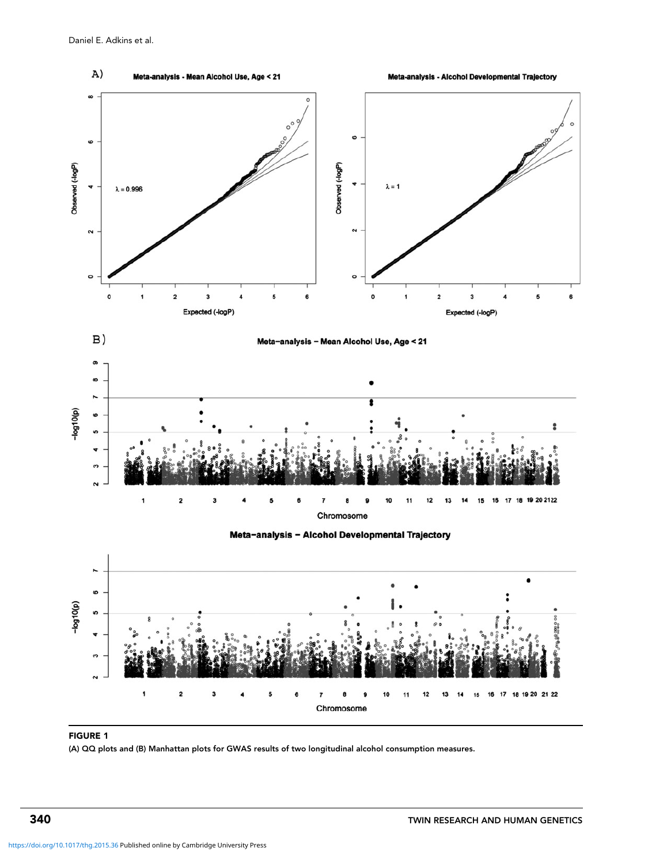<span id="page-5-0"></span>

#### FIGURE 1

(A) QQ plots and (B) Manhattan plots for GWAS results of two longitudinal alcohol consumption measures.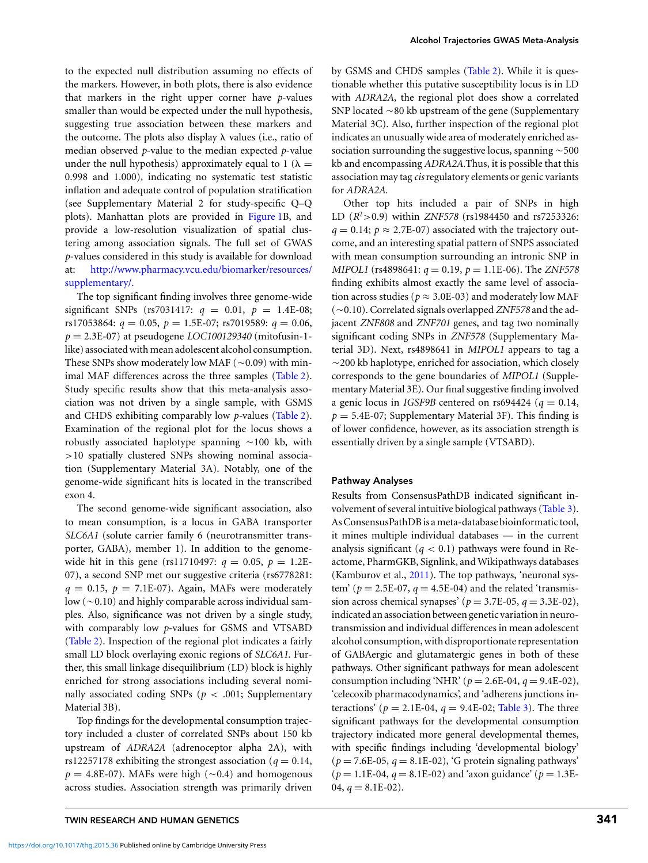to the expected null distribution assuming no effects of the markers. However, in both plots, there is also evidence that markers in the right upper corner have *p*-values smaller than would be expected under the null hypothesis, suggesting true association between these markers and the outcome. The plots also display  $\lambda$  values (i.e., ratio of median observed *p*-value to the median expected *p*-value under the null hypothesis) approximately equal to 1 ( $\lambda =$ 0.998 and 1.000), indicating no systematic test statistic inflation and adequate control of population stratification (see Supplementary Material 2 for study-specific Q–Q plots). Manhattan plots are provided in [Figure 1B](#page-5-0), and provide a low-resolution visualization of spatial clustering among association signals. The full set of GWAS *p*-values considered in this study is available for download [http://www.pharmacy.vcu.edu/biomarker/resources/](http://www.pharmacy.vcu.edu/biomarker/resources/supplementary/. ) [supplementary/.](http://www.pharmacy.vcu.edu/biomarker/resources/supplementary/. )

The top significant finding involves three genome-wide significant SNPs (rs7031417: *q* = 0.01, *p* = 1.4E-08; rs17053864: *q* = 0.05, *p* = 1.5E-07; rs7019589: *q* = 0.06, *p* = 2.3E-07) at pseudogene *LOC100129340* (mitofusin-1 like) associated with mean adolescent alcohol consumption. These SNPs show moderately low MAF ( $\sim$ 0.09) with minimal MAF differences across the three samples [\(Table 2\)](#page-4-0). Study specific results show that this meta-analysis association was not driven by a single sample, with GSMS and CHDS exhibiting comparably low *p-*values [\(Table 2\)](#page-4-0). Examination of the regional plot for the locus shows a robustly associated haplotype spanning  $\sim$ 100 kb, with *>*10 spatially clustered SNPs showing nominal association (Supplementary Material 3A). Notably, one of the genome-wide significant hits is located in the transcribed exon 4.

The second genome-wide significant association, also to mean consumption, is a locus in GABA transporter *SLC6A1* (solute carrier family 6 (neurotransmitter transporter, GABA), member 1). In addition to the genomewide hit in this gene (rs11710497:  $q = 0.05$ ,  $p = 1.2E$ -07), a second SNP met our suggestive criteria (rs6778281:  $q = 0.15$ ,  $p = 7.1E-07$ ). Again, MAFs were moderately low  $(\sim 0.10)$  and highly comparable across individual samples. Also, significance was not driven by a single study, with comparably low *p*-values for GSMS and VTSABD [\(Table 2\)](#page-4-0). Inspection of the regional plot indicates a fairly small LD block overlaying exonic regions of *SLC6A1*. Further, this small linkage disequilibrium (LD) block is highly enriched for strong associations including several nominally associated coding SNPs (*p <* .001; Supplementary Material 3B).

Top findings for the developmental consumption trajectory included a cluster of correlated SNPs about 150 kb upstream of *ADRA2A* (adrenoceptor alpha 2A), with rs12257178 exhibiting the strongest association ( $q = 0.14$ ,  $p = 4.8E-07$ ). MAFs were high ( $\sim 0.4$ ) and homogenous across studies. Association strength was primarily driven by GSMS and CHDS samples [\(Table 2\)](#page-4-0). While it is questionable whether this putative susceptibility locus is in LD with *ADRA2A*, the regional plot does show a correlated SNP located  $\sim$ 80 kb upstream of the gene (Supplementary Material 3C). Also, further inspection of the regional plot indicates an unusually wide area of moderately enriched association surrounding the suggestive locus, spanning  $\sim$  500 kb and encompassing *ADRA2A.*Thus, it is possible that this association may tag *cis*regulatory elements or genic variants for *ADRA2A.*

Other top hits included a pair of SNPs in high LD (*R*<sup>2</sup>*>*0.9) within *ZNF578* (rs1984450 and rs7253326:  $q = 0.14; p \approx 2.7E-07$ ) associated with the trajectory outcome, and an interesting spatial pattern of SNPS associated with mean consumption surrounding an intronic SNP in *MIPOL1* (rs4898641: *q* = 0.19, *p* = 1.1E-06). The *ZNF578* finding exhibits almost exactly the same level of association across studies ( $p \approx 3.0E$ -03) and moderately low MAF  $(\sim 0.10)$ . Correlated signals overlapped *ZNF578* and the adjacent *ZNF808* and *ZNF701* genes, and tag two nominally significant coding SNPs in *ZNF578* (Supplementary Material 3D). Next, rs4898641 in *MIPOL1* appears to tag a  $\sim$  200 kb haplotype, enriched for association, which closely corresponds to the gene boundaries of *MIPOL1* (Supplementary Material 3E). Our final suggestive finding involved a genic locus in *IGSF9B* centered on rs694424 ( $q = 0.14$ ,  $p = 5.4E-07$ ; Supplementary Material 3F). This finding is of lower confidence, however, as its association strength is essentially driven by a single sample (VTSABD).

#### Pathway Analyses

Results from ConsensusPathDB indicated significant involvement of several intuitive biological pathways [\(Table 3\)](#page-7-0). As ConsensusPathDB is a meta-database bioinformatic tool, it mines multiple individual databases –– in the current analysis significant (*q <* 0.1) pathways were found in Reactome, PharmGKB, Signlink, and Wikipathways databases (Kamburov et al., [2011\)](#page-10-0). The top pathways, 'neuronal system' ( $p = 2.5E-07$ ,  $q = 4.5E-04$ ) and the related 'transmission across chemical synapses' ( $p = 3.7E-05$ ,  $q = 3.3E-02$ ), indicated an association between genetic variation in neurotransmission and individual differences in mean adolescent alcohol consumption, with disproportionate representation of GABAergic and glutamatergic genes in both of these pathways. Other significant pathways for mean adolescent consumption including 'NHR' ( $p = 2.6E-04$ ,  $q = 9.4E-02$ ), 'celecoxib pharmacodynamics', and 'adherens junctions interactions' ( $p = 2.1E-04$ ,  $q = 9.4E-02$ ; [Table 3\)](#page-7-0). The three significant pathways for the developmental consumption trajectory indicated more general developmental themes, with specific findings including 'developmental biology'  $(p = 7.6E-05, q = 8.1E-02)$ , 'G protein signaling pathways' (*p* = 1.1E-04, *q* = 8.1E-02) and 'axon guidance' (*p* = 1.3E-04,  $q = 8.1E-02$ ).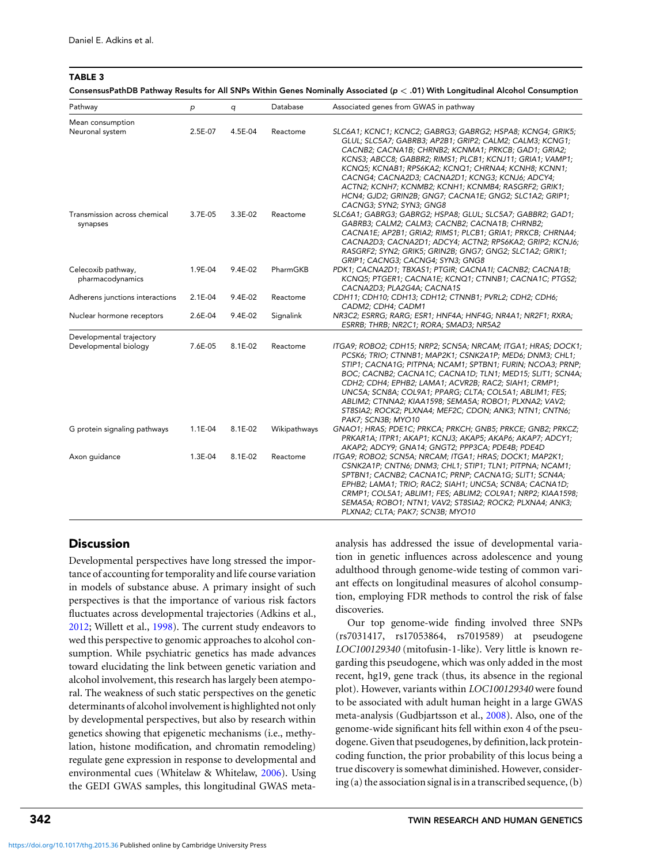| Pathway                                           | p       | q       | Database     | Associated genes from GWAS in pathway                                                                                                                                                                                                                                                                                                                                                                                                                                                                              |
|---------------------------------------------------|---------|---------|--------------|--------------------------------------------------------------------------------------------------------------------------------------------------------------------------------------------------------------------------------------------------------------------------------------------------------------------------------------------------------------------------------------------------------------------------------------------------------------------------------------------------------------------|
| Mean consumption                                  |         |         |              |                                                                                                                                                                                                                                                                                                                                                                                                                                                                                                                    |
| Neuronal system                                   | 2.5E-07 | 4.5E-04 | Reactome     | SLC6A1; KCNC1; KCNC2; GABRG3; GABRG2; HSPA8; KCNG4; GRIK5;<br>GLUL; SLC5A7; GABRB3; AP2B1; GRIP2; CALM2; CALM3; KCNG1;<br>CACNB2; CACNA1B; CHRNB2; KCNMA1; PRKCB; GAD1; GRIA2;<br>KCNS3; ABCC8; GABBR2; RIMS1; PLCB1; KCNJ11; GRIA1; VAMP1;<br>KCNQ5; KCNAB1; RPS6KA2; KCNQ1; CHRNA4; KCNH8; KCNN1;<br>CACNG4; CACNA2D3; CACNA2D1; KCNG3; KCNJ6; ADCY4;<br>ACTN2; KCNH7; KCNMB2; KCNH1; KCNMB4; RASGRF2; GRIK1;<br>HCN4; GJD2; GRIN2B; GNG7; CACNA1E; GNG2; SLC1A2; GRIP1;<br>CACNG3; SYN2; SYN3; GNG8             |
| Transmission across chemical<br>synapses          | 3.7E-05 | 3.3E-02 | Reactome     | SLC6A1; GABRG3; GABRG2; HSPA8; GLUL; SLC5A7; GABBR2; GAD1;<br>GABRB3; CALM2; CALM3; CACNB2; CACNA1B; CHRNB2;<br>CACNA1E; AP2B1; GRIA2; RIMS1; PLCB1; GRIA1; PRKCB; CHRNA4;<br>CACNA2D3; CACNA2D1; ADCY4; ACTN2; RPS6KA2; GRIP2; KCNJ6;<br>RASGRF2; SYN2; GRIK5; GRIN2B; GNG7; GNG2; SLC1A2; GRIK1;<br>GRIP1; CACNG3; CACNG4; SYN3; GNG8                                                                                                                                                                            |
| Celecoxib pathway,<br>pharmacodynamics            | 1.9E-04 | 9.4E-02 | PharmGKB     | PDK1; CACNA2D1; TBXAS1; PTGIR; CACNA1I; CACNB2; CACNA1B;<br>KCNQ5; PTGER1; CACNA1E; KCNQ1; CTNNB1; CACNA1C; PTGS2;<br>CACNA2D3; PLA2G4A; CACNA1S                                                                                                                                                                                                                                                                                                                                                                   |
| Adherens junctions interactions                   | 2.1E-04 | 9.4E-02 | Reactome     | CDH11; CDH10; CDH13; CDH12; CTNNB1; PVRL2; CDH2; CDH6;<br>CADM2; CDH4; CADM1                                                                                                                                                                                                                                                                                                                                                                                                                                       |
| Nuclear hormone receptors                         | 2.6E-04 | 9.4E-02 | Signalink    | NR3C2; ESRRG; RARG; ESR1; HNF4A; HNF4G; NR4A1; NR2F1; RXRA;<br>ESRRB; THRB; NR2C1; RORA; SMAD3; NR5A2                                                                                                                                                                                                                                                                                                                                                                                                              |
| Developmental trajectory<br>Developmental biology | 7.6E-05 | 8.1E-02 | Reactome     | ITGA9; ROBO2; CDH15; NRP2; SCN5A; NRCAM; ITGA1; HRAS; DOCK1;<br>PCSK6; TRIO; CTNNB1; MAP2K1; CSNK2A1P; MED6; DNM3; CHL1;<br>STIP1; CACNA1G; PITPNA; NCAM1; SPTBN1; FURIN; NCOA3; PRNP;<br>BOC; CACNB2; CACNA1C; CACNA1D; TLN1; MED15; SLIT1; SCN4A;<br>CDH2; CDH4; EPHB2; LAMA1; ACVR2B; RAC2; SIAH1; CRMP1;<br>UNC5A; SCN8A; COL9A1; PPARG; CLTA; COL5A1; ABLIM1; FES;<br>ABLIM2; CTNNA2; KIAA1598; SEMA5A; ROBO1; PLXNA2; VAV2;<br>ST8SIA2; ROCK2; PLXNA4; MEF2C; CDON; ANK3; NTN1; CNTN6;<br>PAK7; SCN3B; MYO10 |
| G protein signaling pathways                      | 1.1E-04 | 8.1E-02 | Wikipathways | GNAO1; HRAS; PDE1C; PRKCA; PRKCH; GNB5; PRKCE; GNB2; PRKCZ;<br>PRKAR1A; ITPR1; AKAP1; KCNJ3; AKAP5; AKAP6; AKAP7; ADCY1;<br>AKAP2; ADCY9; GNA14; GNGT2; PPP3CA; PDE4B; PDE4D                                                                                                                                                                                                                                                                                                                                       |
| Axon quidance                                     | 1.3E-04 | 8.1E-02 | Reactome     | ITGA9; ROBO2; SCN5A; NRCAM; ITGA1; HRAS; DOCK1; MAP2K1;<br>CSNK2A1P; CNTN6; DNM3; CHL1; STIP1; TLN1; PITPNA; NCAM1;<br>SPTBN1; CACNB2; CACNA1C; PRNP; CACNA1G; SLIT1; SCN4A;<br>EPHB2; LAMA1; TRIO; RAC2; SIAH1; UNC5A; SCN8A; CACNA1D;<br>CRMP1; COL5A1; ABLIM1; FES; ABLIM2; COL9A1; NRP2; KIAA1598;<br>SEMA5A; ROBO1; NTN1; VAV2; ST8SIA2; ROCK2; PLXNA4; ANK3;<br>PLXNA2; CLTA; PAK7; SCN3B; MYO10                                                                                                             |

#### <span id="page-7-0"></span>TABLE 3

ConsensusPathDB Pathway Results for All SNPs Within Genes Nominally Associated (p *<* .01) With Longitudinal Alcohol Consumption

# **Discussion**

Developmental perspectives have long stressed the importance of accounting for temporality and life course variation in models of substance abuse. A primary insight of such perspectives is that the importance of various risk factors fluctuates across developmental trajectories (Adkins et al., [2012;](#page-9-0) Willett et al., [1998\)](#page-12-0). The current study endeavors to wed this perspective to genomic approaches to alcohol consumption. While psychiatric genetics has made advances toward elucidating the link between genetic variation and alcohol involvement, this research has largely been atemporal. The weakness of such static perspectives on the genetic determinants of alcohol involvement is highlighted not only by developmental perspectives, but also by research within genetics showing that epigenetic mechanisms (i.e., methylation, histone modification, and chromatin remodeling) regulate gene expression in response to developmental and environmental cues (Whitelaw & Whitelaw, [2006\)](#page-12-0). Using the GEDI GWAS samples, this longitudinal GWAS metaanalysis has addressed the issue of developmental variation in genetic influences across adolescence and young adulthood through genome-wide testing of common variant effects on longitudinal measures of alcohol consumption, employing FDR methods to control the risk of false discoveries.

Our top genome-wide finding involved three SNPs (rs7031417, rs17053864, rs7019589) at pseudogene *LOC100129340* (mitofusin-1-like). Very little is known regarding this pseudogene, which was only added in the most recent, hg19, gene track (thus, its absence in the regional plot). However, variants within *LOC100129340* were found to be associated with adult human height in a large GWAS meta-analysis (Gudbjartsson et al., [2008\)](#page-10-0). Also, one of the genome-wide significant hits fell within exon 4 of the pseudogene. Given that pseudogenes, by definition, lack proteincoding function, the prior probability of this locus being a true discovery is somewhat diminished. However, considering (a) the association signal is in a transcribed sequence, (b)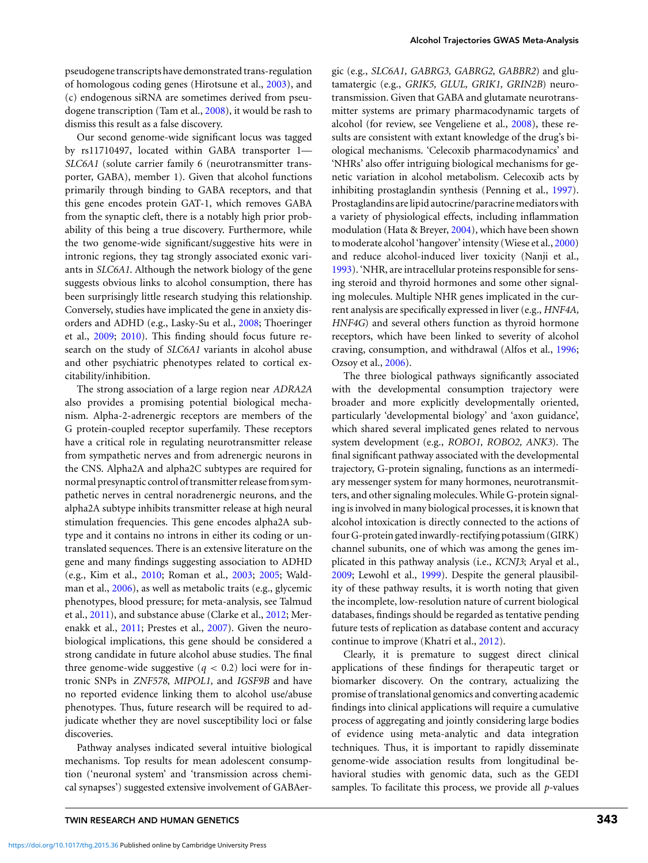pseudogene transcripts have demonstrated trans-regulation of homologous coding genes (Hirotsune et al., [2003\)](#page-10-0), and (c) endogenous siRNA are sometimes derived from pseudogene transcription (Tam et al., [2008\)](#page-11-0), it would be rash to dismiss this result as a false discovery.

Our second genome-wide significant locus was tagged by rs11710497, located within GABA transporter 1— *SLC6A1* (solute carrier family 6 (neurotransmitter transporter, GABA), member 1). Given that alcohol functions primarily through binding to GABA receptors, and that this gene encodes protein GAT-1, which removes GABA from the synaptic cleft, there is a notably high prior probability of this being a true discovery. Furthermore, while the two genome-wide significant/suggestive hits were in intronic regions, they tag strongly associated exonic variants in *SLC6A1*. Although the network biology of the gene suggests obvious links to alcohol consumption, there has been surprisingly little research studying this relationship. Conversely, studies have implicated the gene in anxiety disorders and ADHD (e.g., Lasky-Su et al., [2008;](#page-10-0) Thoeringer et al., [2009;](#page-11-0) [2010\)](#page-11-0). This finding should focus future research on the study of *SLC6A1* variants in alcohol abuse and other psychiatric phenotypes related to cortical excitability/inhibition.

The strong association of a large region near *ADRA2A* also provides a promising potential biological mechanism. Alpha-2-adrenergic receptors are members of the G protein-coupled receptor superfamily. These receptors have a critical role in regulating neurotransmitter release from sympathetic nerves and from adrenergic neurons in the CNS. Alpha2A and alpha2C subtypes are required for normal presynaptic control of transmitter release from sympathetic nerves in central noradrenergic neurons, and the alpha2A subtype inhibits transmitter release at high neural stimulation frequencies. This gene encodes alpha2A subtype and it contains no introns in either its coding or untranslated sequences. There is an extensive literature on the gene and many findings suggesting association to ADHD (e.g., Kim et al., [2010;](#page-10-0) Roman et al., [2003;](#page-11-0) [2005;](#page-11-0) Waldman et al., [2006\)](#page-12-0), as well as metabolic traits (e.g., glycemic phenotypes, blood pressure; for meta-analysis, see Talmud et al., [2011\)](#page-11-0), and substance abuse (Clarke et al., [2012;](#page-10-0) Merenakk et al., [2011;](#page-10-0) Prestes et al., [2007\)](#page-11-0). Given the neurobiological implications, this gene should be considered a strong candidate in future alcohol abuse studies. The final three genome-wide suggestive  $(q < 0.2)$  loci were for intronic SNPs in *ZNF578*, *MIPOL1,* and *IGSF9B* and have no reported evidence linking them to alcohol use/abuse phenotypes. Thus, future research will be required to adjudicate whether they are novel susceptibility loci or false discoveries.

Pathway analyses indicated several intuitive biological mechanisms. Top results for mean adolescent consumption ('neuronal system' and 'transmission across chemical synapses') suggested extensive involvement of GABAer-

gic (e.g., *SLC6A1, GABRG3, GABRG2, GABBR2*) and glutamatergic (e.g., *GRIK5, GLUL, GRIK1, GRIN2B*) neurotransmission. Given that GABA and glutamate neurotransmitter systems are primary pharmacodynamic targets of alcohol (for review, see Vengeliene et al., [2008\)](#page-12-0), these results are consistent with extant knowledge of the drug's biological mechanisms. 'Celecoxib pharmacodynamics' and 'NHRs' also offer intriguing biological mechanisms for genetic variation in alcohol metabolism. Celecoxib acts by inhibiting prostaglandin synthesis (Penning et al., [1997\)](#page-11-0). Prostaglandins are lipid autocrine/paracrine mediators with a variety of physiological effects, including inflammation modulation (Hata & Breyer, [2004\)](#page-10-0), which have been shown to moderate alcohol 'hangover' intensity (Wiese et al., [2000\)](#page-12-0) and reduce alcohol-induced liver toxicity (Nanji et al., [1993\)](#page-11-0). 'NHR, are intracellular proteins responsible for sensing steroid and thyroid hormones and some other signaling molecules. Multiple NHR genes implicated in the current analysis are specifically expressed in liver (e.g., *HNF4A, HNF4G*) and several others function as thyroid hormone receptors, which have been linked to severity of alcohol craving, consumption, and withdrawal (Alfos et al., [1996;](#page-9-0) Ozsoy et al., [2006\)](#page-11-0).

The three biological pathways significantly associated with the developmental consumption trajectory were broader and more explicitly developmentally oriented, particularly 'developmental biology' and 'axon guidance', which shared several implicated genes related to nervous system development (e.g., *ROBO1, ROBO2, ANK3*). The final significant pathway associated with the developmental trajectory, G-protein signaling, functions as an intermediary messenger system for many hormones, neurotransmitters, and other signaling molecules. While G-protein signaling is involved in many biological processes, it is known that alcohol intoxication is directly connected to the actions of four G-protein gated inwardly-rectifying potassium (GIRK) channel subunits, one of which was among the genes implicated in this pathway analysis (i.e., *KCNJ3*; Aryal et al., [2009;](#page-9-0) Lewohl et al., [1999\)](#page-10-0). Despite the general plausibility of these pathway results, it is worth noting that given the incomplete, low-resolution nature of current biological databases, findings should be regarded as tentative pending future tests of replication as database content and accuracy continue to improve (Khatri et al., [2012\)](#page-10-0).

Clearly, it is premature to suggest direct clinical applications of these findings for therapeutic target or biomarker discovery. On the contrary, actualizing the promise of translational genomics and converting academic findings into clinical applications will require a cumulative process of aggregating and jointly considering large bodies of evidence using meta-analytic and data integration techniques. Thus, it is important to rapidly disseminate genome-wide association results from longitudinal behavioral studies with genomic data, such as the GEDI samples. To facilitate this process, we provide all *p-*values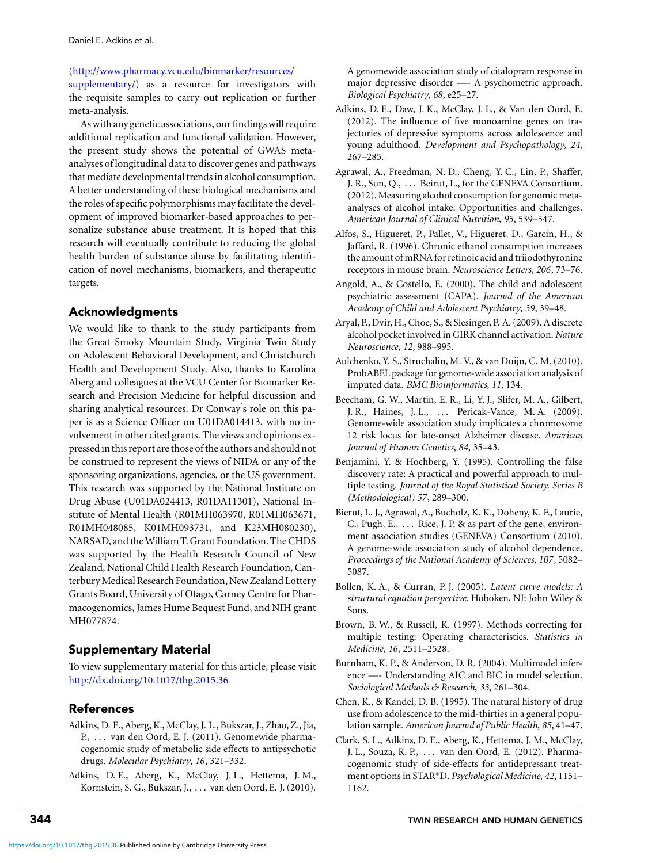#### <span id="page-9-0"></span>[\(http://www.pharmacy.vcu.edu/biomarker/resources/](http://www.pharmacy.vcu.edu/biomarker/resources/supplementary/)

[supplementary/\)](http://www.pharmacy.vcu.edu/biomarker/resources/supplementary/) as a resource for investigators with the requisite samples to carry out replication or further meta-analysis.

As with any genetic associations, our findings will require additional replication and functional validation. However, the present study shows the potential of GWAS metaanalyses of longitudinal data to discover genes and pathways that mediate developmental trends in alcohol consumption. A better understanding of these biological mechanisms and the roles of specific polymorphisms may facilitate the development of improved biomarker-based approaches to personalize substance abuse treatment. It is hoped that this research will eventually contribute to reducing the global health burden of substance abuse by facilitating identification of novel mechanisms, biomarkers, and therapeutic targets.

# Acknowledgments

We would like to thank to the study participants from the Great Smoky Mountain Study, Virginia Twin Study on Adolescent Behavioral Development, and Christchurch Health and Development Study. Also, thanks to Karolina Aberg and colleagues at the VCU Center for Biomarker Research and Precision Medicine for helpful discussion and sharing analytical resources. Dr Conway' s role on this paper is as a Science Officer on U01DA014413, with no involvement in other cited grants. The views and opinions expressed in this report are those of the authors and should not be construed to represent the views of NIDA or any of the sponsoring organizations, agencies, or the US government. This research was supported by the National Institute on Drug Abuse (U01DA024413, R01DA11301), National Institute of Mental Health (R01MH063970, R01MH063671, R01MH048085, K01MH093731, and K23MH080230), NARSAD, and the William T. Grant Foundation. The CHDS was supported by the Health Research Council of New Zealand, National Child Health Research Foundation, Canterbury Medical Research Foundation, New Zealand Lottery Grants Board, University of Otago, Carney Centre for Pharmacogenomics, James Hume Bequest Fund, and NIH grant MH077874.

## Supplementary Material

To view supplementary material for this article, please visit <http://dx.doi.org/10.1017/thg.2015.36>

# References

- Adkins, D. E., Aberg, K., McClay, J. L., Bukszar, J., Zhao, Z., Jia, P., ... van den Oord, E. J. (2011). Genomewide pharmacogenomic study of metabolic side effects to antipsychotic drugs. *Molecular Psychiatry*, *16*, 321–332.
- Adkins, D. E., Aberg, K., McClay, J. L., Hettema, J. M., Kornstein, S. G., Bukszar, J., . . . van den Oord, E. J. (2010).

A genomewide association study of citalopram response in major depressive disorder —- A psychometric approach. *Biological Psychiatry*, *68*, e25–27.

- Adkins, D. E., Daw, J. K., McClay, J. L., & Van den Oord, E. (2012). The influence of five monoamine genes on trajectories of depressive symptoms across adolescence and young adulthood. *Development and Psychopathology*, *24*, 267–285.
- Agrawal, A., Freedman, N. D., Cheng, Y. C., Lin, P., Shaffer, J. R., Sun, Q., . . . Beirut, L., for the GENEVA Consortium. (2012). Measuring alcohol consumption for genomic metaanalyses of alcohol intake: Opportunities and challenges. *American Journal of Clinical Nutrition*, *95*, 539–547.
- Alfos, S., Higueret, P., Pallet, V., Higueret, D., Garcin, H., & Jaffard, R. (1996). Chronic ethanol consumption increases the amount of mRNA for retinoic acid and triiodothyronine receptors in mouse brain. *Neuroscience Letters*, *206*, 73–76.
- Angold, A., & Costello, E. (2000). The child and adolescent psychiatric assessment (CAPA). *Journal of the American Academy of Child and Adolescent Psychiatry*, *39*, 39–48.
- Aryal, P., Dvir, H., Choe, S., & Slesinger, P. A. (2009). A discrete alcohol pocket involved in GIRK channel activation. *Nature Neuroscience*, *12*, 988–995.
- Aulchenko, Y. S., Struchalin, M. V., & van Duijn, C. M. (2010). ProbABEL package for genome-wide association analysis of imputed data. *BMC Bioinformatics*, *11*, 134.
- Beecham, G. W., Martin, E. R., Li, Y. J., Slifer, M. A., Gilbert, J. R., Haines, J. L., ... Pericak-Vance, M. A. (2009). Genome-wide association study implicates a chromosome 12 risk locus for late-onset Alzheimer disease. *American Journal of Human Genetics*, *84*, 35–43.
- Benjamini, Y. & Hochberg, Y. (1995). Controlling the false discovery rate: A practical and powerful approach to multiple testing. *Journal of the Royal Statistical Society. Series B (Methodological) 57*, 289–300.
- Bierut, L. J., Agrawal, A., Bucholz, K. K., Doheny, K. F., Laurie, C., Pugh, E., ... Rice, J. P. & as part of the gene, environment association studies (GENEVA) Consortium (2010). A genome-wide association study of alcohol dependence. *Proceedings of the National Academy of Sciences*, *107*, 5082– 5087.
- Bollen, K. A., & Curran, P. J. (2005). *Latent curve models: A structural equation perspective*. Hoboken, NJ: John Wiley & Sons.
- Brown, B. W., & Russell, K. (1997). Methods correcting for multiple testing: Operating characteristics. *Statistics in Medicine*, *16*, 2511–2528.
- Burnham, K. P., & Anderson, D. R. (2004). Multimodel inference —- Understanding AIC and BIC in model selection. *Sociological Methods & Research*, *33*, 261–304.
- Chen, K., & Kandel, D. B. (1995). The natural history of drug use from adolescence to the mid-thirties in a general population sample. *American Journal of Public Health*, *85*, 41–47.
- Clark, S. L., Adkins, D. E., Aberg, K., Hettema, J. M., McClay, J. L., Souza, R. P., . . . van den Oord, E. (2012). Pharmacogenomic study of side-effects for antidepressant treatment options in STAR∗D. *Psychological Medicine*, *42*, 1151– 1162.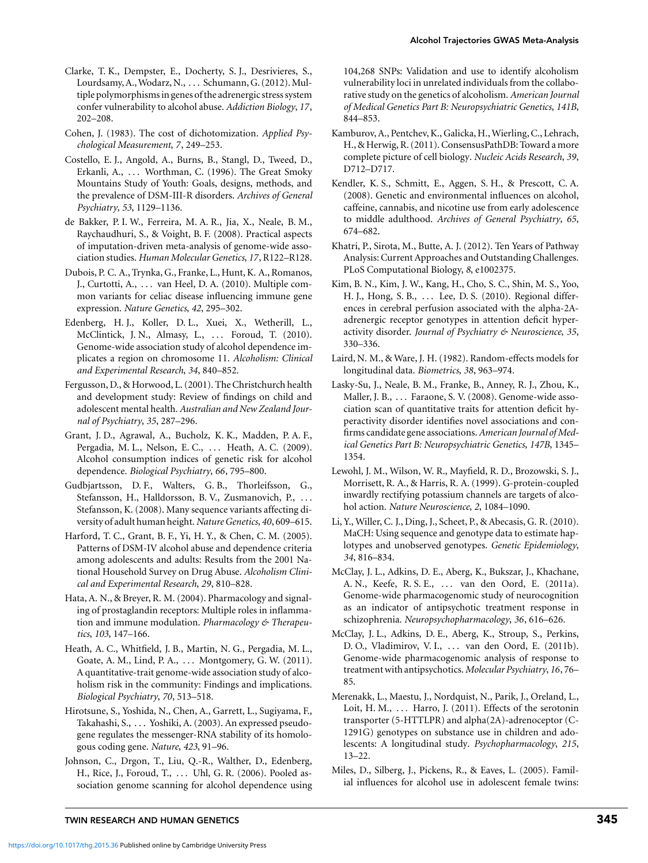- <span id="page-10-0"></span>Clarke, T. K., Dempster, E., Docherty, S. J., Desrivieres, S., Lourdsamy, A., Wodarz, N., . . . Schumann, G. (2012). Multiple polymorphisms in genes of the adrenergic stress system confer vulnerability to alcohol abuse. *Addiction Biology*, *17*, 202–208.
- Cohen, J. (1983). The cost of dichotomization. *Applied Psychological Measurement*, *7*, 249–253.
- Costello, E. J., Angold, A., Burns, B., Stangl, D., Tweed, D., Erkanli, A., . . . Worthman, C. (1996). The Great Smoky Mountains Study of Youth: Goals, designs, methods, and the prevalence of DSM-III-R disorders. *Archives of General Psychiatry*, *53*, 1129–1136.
- de Bakker, P. I. W., Ferreira, M. A. R., Jia, X., Neale, B. M., Raychaudhuri, S., & Voight, B. F. (2008). Practical aspects of imputation-driven meta-analysis of genome-wide association studies. *Human Molecular Genetics*, *17*, R122–R128.
- Dubois, P. C. A., Trynka, G., Franke, L., Hunt, K. A., Romanos, J., Curtotti, A., . . . van Heel, D. A. (2010). Multiple common variants for celiac disease influencing immune gene expression. *Nature Genetics*, *42*, 295–302.
- Edenberg, H. J., Koller, D. L., Xuei, X., Wetherill, L., McClintick, J. N., Almasy, L., ... Foroud, T. (2010). Genome-wide association study of alcohol dependence implicates a region on chromosome 11. *Alcoholism: Clinical and Experimental Research*, *34*, 840–852.
- Fergusson, D., & Horwood, L. (2001). The Christchurch health and development study: Review of findings on child and adolescent mental health. *Australian and New Zealand Journal of Psychiatry*, *35*, 287–296.
- Grant, J. D., Agrawal, A., Bucholz, K. K., Madden, P. A. F., Pergadia, M. L., Nelson, E. C., ... Heath, A. C. (2009). Alcohol consumption indices of genetic risk for alcohol dependence. *Biological Psychiatry*, *66*, 795–800.
- Gudbjartsson, D. F., Walters, G. B., Thorleifsson, G., Stefansson, H., Halldorsson, B. V., Zusmanovich, P., ... Stefansson, K. (2008). Many sequence variants affecting diversity of adult human height.*Nature Genetics*, *40*, 609–615.
- Harford, T. C., Grant, B. F., Yi, H. Y., & Chen, C. M. (2005). Patterns of DSM-IV alcohol abuse and dependence criteria among adolescents and adults: Results from the 2001 National Household Survey on Drug Abuse. *Alcoholism Clinical and Experimental Research*, *29*, 810–828.
- Hata, A. N., & Breyer, R. M. (2004). Pharmacology and signaling of prostaglandin receptors: Multiple roles in inflammation and immune modulation. *Pharmacology & Therapeutics*, *103*, 147–166.
- Heath, A. C., Whitfield, J. B., Martin, N. G., Pergadia, M. L., Goate, A. M., Lind, P. A., . . . Montgomery, G. W. (2011). A quantitative-trait genome-wide association study of alcoholism risk in the community: Findings and implications. *Biological Psychiatry*, *70*, 513–518.
- Hirotsune, S., Yoshida, N., Chen, A., Garrett, L., Sugiyama, F., Takahashi, S., . . . Yoshiki, A. (2003). An expressed pseudogene regulates the messenger-RNA stability of its homologous coding gene. *Nature*, *423*, 91–96.
- Johnson, C., Drgon, T., Liu, Q.-R., Walther, D., Edenberg, H., Rice, J., Foroud, T., ... Uhl, G. R. (2006). Pooled association genome scanning for alcohol dependence using

104,268 SNPs: Validation and use to identify alcoholism vulnerability loci in unrelated individuals from the collaborative study on the genetics of alcoholism. *American Journal of Medical Genetics Part B: Neuropsychiatric Genetics*, *141B*, 844–853.

- Kamburov, A., Pentchev, K., Galicka, H., Wierling, C., Lehrach, H., & Herwig, R. (2011). ConsensusPathDB: Toward a more complete picture of cell biology. *Nucleic Acids Research*, *39*, D712–D717.
- Kendler, K. S., Schmitt, E., Aggen, S. H., & Prescott, C. A. (2008). Genetic and environmental influences on alcohol, caffeine, cannabis, and nicotine use from early adolescence to middle adulthood. *Archives of General Psychiatry*, *65*, 674–682.
- Khatri, P., Sirota, M., Butte, A. J. (2012). Ten Years of Pathway Analysis: Current Approaches and Outstanding Challenges. PLoS Computational Biology, *8*, e1002375.
- Kim, B. N., Kim, J. W., Kang, H., Cho, S. C., Shin, M. S., Yoo, H. J., Hong, S. B., ... Lee, D. S. (2010). Regional differences in cerebral perfusion associated with the alpha-2Aadrenergic receptor genotypes in attention deficit hyperactivity disorder. *Journal of Psychiatry & Neuroscience*, *35*, 330–336.
- Laird, N. M., & Ware, J. H. (1982). Random-effects models for longitudinal data. *Biometrics*, *38*, 963–974.
- Lasky-Su, J., Neale, B. M., Franke, B., Anney, R. J., Zhou, K., Maller, J. B., ... Faraone, S. V. (2008). Genome-wide association scan of quantitative traits for attention deficit hyperactivity disorder identifies novel associations and confirms candidate gene associations.*American Journal of Medical Genetics Part B: Neuropsychiatric Genetics*, *147B*, 1345– 1354.
- Lewohl, J. M., Wilson, W. R., Mayfield, R. D., Brozowski, S. J., Morrisett, R. A., & Harris, R. A. (1999). G-protein-coupled inwardly rectifying potassium channels are targets of alcohol action. *Nature Neuroscience*, *2*, 1084–1090.
- Li, Y., Willer, C. J., Ding, J., Scheet, P., & Abecasis, G. R. (2010). MaCH: Using sequence and genotype data to estimate haplotypes and unobserved genotypes. *Genetic Epidemiology*, *34*, 816–834.
- McClay, J. L., Adkins, D. E., Aberg, K., Bukszar, J., Khachane, A. N., Keefe, R. S. E., . . . van den Oord, E. (2011a). Genome-wide pharmacogenomic study of neurocognition as an indicator of antipsychotic treatment response in schizophrenia. *Neuropsychopharmacology*, *36*, 616–626.
- McClay, J. L., Adkins, D. E., Aberg, K., Stroup, S., Perkins, D. O., Vladimirov, V. I., ... van den Oord, E. (2011b). Genome-wide pharmacogenomic analysis of response to treatment with antipsychotics.*Molecular Psychiatry*, *16*, 76– 85.
- Merenakk, L., Maestu, J., Nordquist, N., Parik, J., Oreland, L., Loit, H. M., ... Harro, J. (2011). Effects of the serotonin transporter (5-HTTLPR) and alpha(2A)-adrenoceptor (C-1291G) genotypes on substance use in children and adolescents: A longitudinal study. *Psychopharmacology*, *215*, 13–22.
- Miles, D., Silberg, J., Pickens, R., & Eaves, L. (2005). Familial influences for alcohol use in adolescent female twins:

## TWIN RESEARCH AND HUMAN GENETICS **345**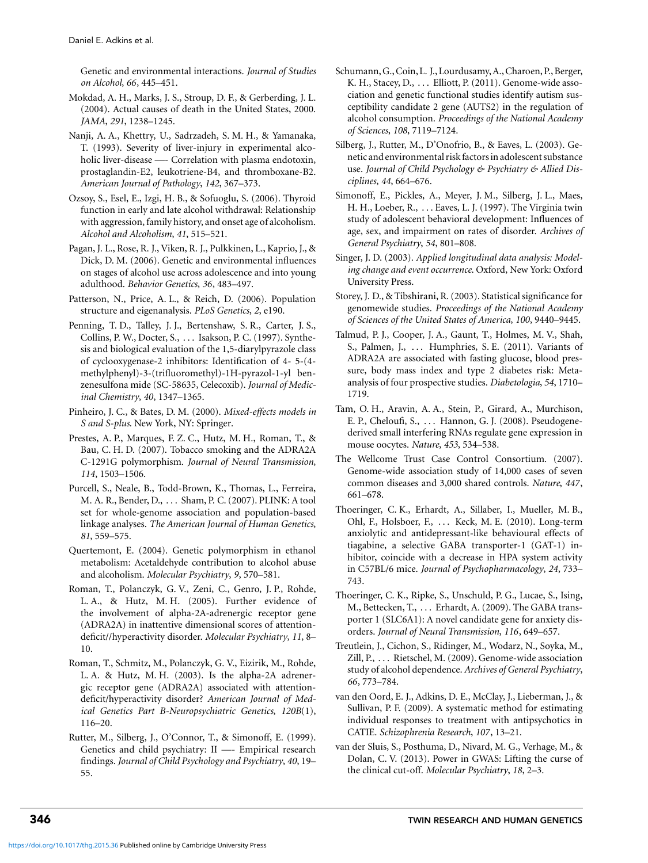<span id="page-11-0"></span>Genetic and environmental interactions. *Journal of Studies on Alcohol*, *66*, 445–451.

- Mokdad, A. H., Marks, J. S., Stroup, D. F., & Gerberding, J. L. (2004). Actual causes of death in the United States, 2000. *JAMA*, *291*, 1238–1245.
- Nanji, A. A., Khettry, U., Sadrzadeh, S. M. H., & Yamanaka, T. (1993). Severity of liver-injury in experimental alcoholic liver-disease —- Correlation with plasma endotoxin, prostaglandin-E2, leukotriene-B4, and thromboxane-B2. *American Journal of Pathology*, *142*, 367–373.
- Ozsoy, S., Esel, E., Izgi, H. B., & Sofuoglu, S. (2006). Thyroid function in early and late alcohol withdrawal: Relationship with aggression, family history, and onset age of alcoholism. *Alcohol and Alcoholism*, *41*, 515–521.
- Pagan, J. L., Rose, R. J., Viken, R. J., Pulkkinen, L., Kaprio, J., & Dick, D. M. (2006). Genetic and environmental influences on stages of alcohol use across adolescence and into young adulthood. *Behavior Genetics*, *36*, 483–497.
- Patterson, N., Price, A. L., & Reich, D. (2006). Population structure and eigenanalysis. *PLoS Genetics*, *2*, e190.
- Penning, T. D., Talley, J. J., Bertenshaw, S. R., Carter, J. S., Collins, P. W., Docter, S., . . . Isakson, P. C. (1997). Synthesis and biological evaluation of the 1,5-diarylpyrazole class of cyclooxygenase-2 inhibitors: Identification of 4- 5-(4 methylphenyl)-3-(trifluoromethyl)-1H-pyrazol-1-yl benzenesulfona mide (SC-58635, Celecoxib). *Journal of Medicinal Chemistry*, *40*, 1347–1365.
- Pinheiro, J. C., & Bates, D. M. (2000). *Mixed-effects models in S and S-plus*. New York, NY: Springer.
- Prestes, A. P., Marques, F. Z. C., Hutz, M. H., Roman, T., & Bau, C. H. D. (2007). Tobacco smoking and the ADRA2A C-1291G polymorphism. *Journal of Neural Transmission*, *114*, 1503–1506.
- Purcell, S., Neale, B., Todd-Brown, K., Thomas, L., Ferreira, M. A. R., Bender, D., . . . Sham, P. C. (2007). PLINK: A tool set for whole-genome association and population-based linkage analyses. *The American Journal of Human Genetics*, *81*, 559–575.
- Quertemont, E. (2004). Genetic polymorphism in ethanol metabolism: Acetaldehyde contribution to alcohol abuse and alcoholism. *Molecular Psychiatry*, *9*, 570–581.
- Roman, T., Polanczyk, G. V., Zeni, C., Genro, J. P., Rohde, L. A., & Hutz, M. H. (2005). Further evidence of the involvement of alpha-2A-adrenergic receptor gene (ADRA2A) in inattentive dimensional scores of attentiondeficit//hyperactivity disorder. *Molecular Psychiatry*, *11*, 8– 10.
- Roman, T., Schmitz, M., Polanczyk, G. V., Eizirik, M., Rohde, L. A. & Hutz, M. H. (2003). Is the alpha-2A adrenergic receptor gene (ADRA2A) associated with attentiondeficit/hyperactivity disorder? *American Journal of Medical Genetics Part B-Neuropsychiatric Genetics*, *120B*(1), 116–20.
- Rutter, M., Silberg, J., O'Connor, T., & Simonoff, E. (1999). Genetics and child psychiatry: II —- Empirical research findings. *Journal of Child Psychology and Psychiatry*, *40*, 19– 55.
- Schumann, G., Coin, L. J., Lourdusamy, A., Charoen, P., Berger, K. H., Stacey, D., ... Elliott, P. (2011). Genome-wide association and genetic functional studies identify autism susceptibility candidate 2 gene (AUTS2) in the regulation of alcohol consumption. *Proceedings of the National Academy of Sciences*, *108*, 7119–7124.
- Silberg, J., Rutter, M., D'Onofrio, B., & Eaves, L. (2003). Genetic and environmental risk factors in adolescent substance use. *Journal of Child Psychology & Psychiatry & Allied Disciplines*, *44*, 664–676.
- Simonoff, E., Pickles, A., Meyer, J. M., Silberg, J. L., Maes, H. H., Loeber, R., . . . Eaves, L. J. (1997). The Virginia twin study of adolescent behavioral development: Influences of age, sex, and impairment on rates of disorder. *Archives of General Psychiatry*, *54*, 801–808.
- Singer, J. D. (2003). *Applied longitudinal data analysis: Modeling change and event occurrence*. Oxford, New York: Oxford University Press.
- Storey, J. D., & Tibshirani, R. (2003). Statistical significance for genomewide studies. *Proceedings of the National Academy of Sciences of the United States of America*, *100*, 9440–9445.
- Talmud, P. J., Cooper, J. A., Gaunt, T., Holmes, M. V., Shah, S., Palmen, J., ... Humphries, S. E. (2011). Variants of ADRA2A are associated with fasting glucose, blood pressure, body mass index and type 2 diabetes risk: Metaanalysis of four prospective studies. *Diabetologia*, *54*, 1710– 1719.
- Tam, O. H., Aravin, A. A., Stein, P., Girard, A., Murchison, E. P., Cheloufi, S., . . . Hannon, G. J. (2008). Pseudogenederived small interfering RNAs regulate gene expression in mouse oocytes. *Nature*, *453*, 534–538.
- The Wellcome Trust Case Control Consortium. (2007). Genome-wide association study of 14,000 cases of seven common diseases and 3,000 shared controls. *Nature*, *447*, 661–678.
- Thoeringer, C. K., Erhardt, A., Sillaber, I., Mueller, M. B., Ohl, F., Holsboer, F., . . . Keck, M. E. (2010). Long-term anxiolytic and antidepressant-like behavioural effects of tiagabine, a selective GABA transporter-1 (GAT-1) inhibitor, coincide with a decrease in HPA system activity in C57BL/6 mice. *Journal of Psychopharmacology*, *24*, 733– 743.
- Thoeringer, C. K., Ripke, S., Unschuld, P. G., Lucae, S., Ising, M., Bettecken, T., . . . Erhardt, A. (2009). The GABA transporter 1 (SLC6A1): A novel candidate gene for anxiety disorders. *Journal of Neural Transmission*, *116*, 649–657.
- Treutlein, J., Cichon, S., Ridinger, M., Wodarz, N., Soyka, M., Zill, P., ... Rietschel, M. (2009). Genome-wide association study of alcohol dependence. *Archives of General Psychiatry*, *66*, 773–784.
- van den Oord, E. J., Adkins, D. E., McClay, J., Lieberman, J., & Sullivan, P. F. (2009). A systematic method for estimating individual responses to treatment with antipsychotics in CATIE. *Schizophrenia Research*, *107*, 13–21.
- van der Sluis, S., Posthuma, D., Nivard, M. G., Verhage, M., & Dolan, C. V. (2013). Power in GWAS: Lifting the curse of the clinical cut-off. *Molecular Psychiatry*, *18*, 2–3.